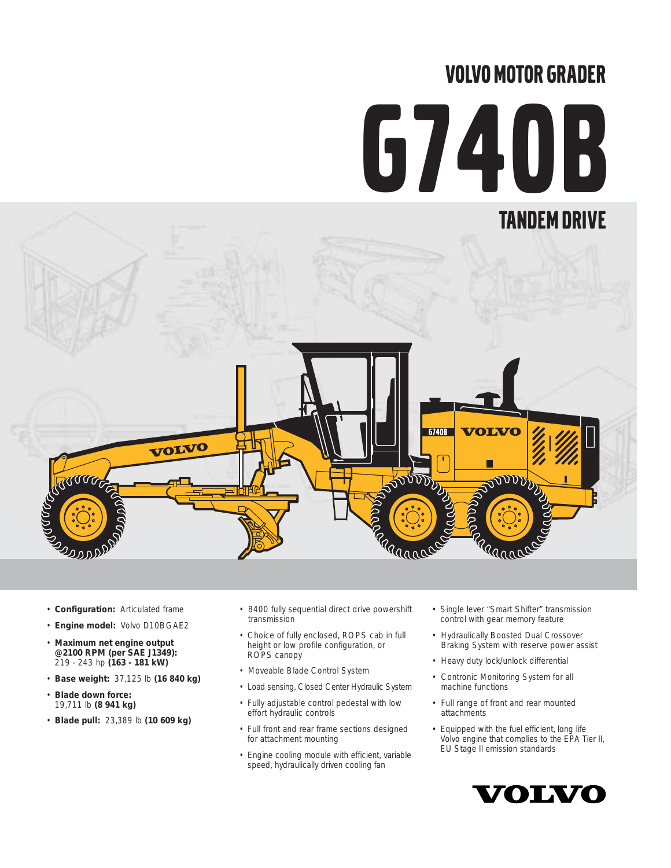# VOLVO MOTOR GRADER

# G740B



- **Configuration:** Articulated frame
- **Engine model:** Volvo D10BGAE2
- **Maximum net engine output @2100 RPM (per SAE J1349):** 219 - 243 hp **(163 - 181 kW)**
- **Base weight:** 37,125 lb **(16 840 kg)**
- **Blade down force:**  19,711 lb **(8 941 kg)**
- **Blade pull:** 23,389 lb **(10 609 kg)**
- 8400 fully sequential direct drive powershift transmission
- Choice of fully enclosed, ROPS cab in full height or low profile configuration, or ROPS canopy
- Moveable Blade Control System
- Load sensing, Closed Center Hydraulic System
- Fully adjustable control pedestal with low effort hydraulic controls
- Full front and rear frame sections designed for attachment mounting
- Engine cooling module with efficient, variable speed, hydraulically driven cooling fan
- Single lever "Smart Shifter" transmission control with gear memory feature
- Hydraulically Boosted Dual Crossover Braking System with reserve power assist
- Heavy duty lock/unlock differential
- Contronic Monitoring System for all machine functions
- Full range of front and rear mounted attachments
- Equipped with the fuel efficient, long life Volvo engine that complies to the EPA Tier II, EU Stage II emission standards

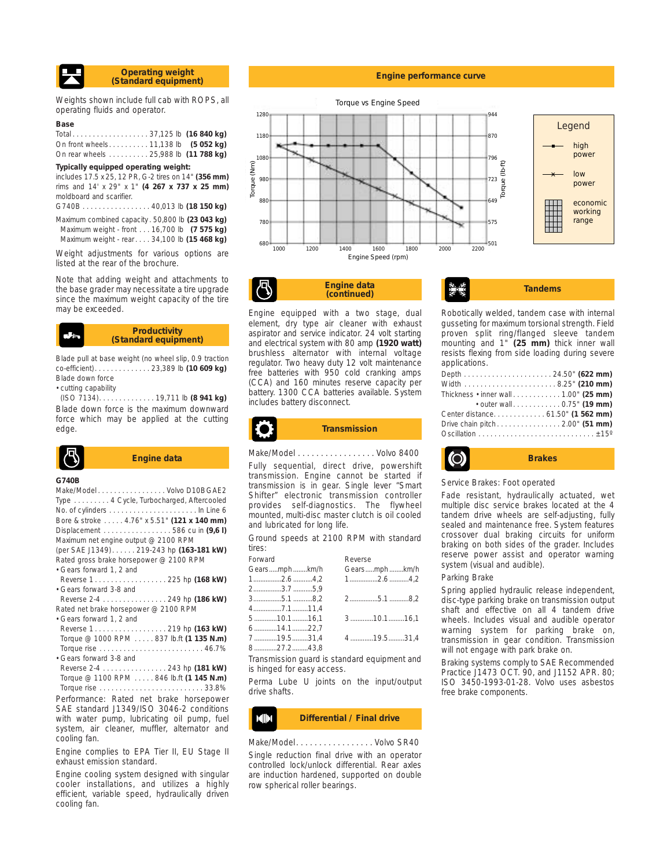

Weights shown include full cab with ROPS, all operating fluids and operator.

#### **Base**

| On front wheels 11,138 lb (5 052 kg) |  |  |
|--------------------------------------|--|--|
| On rear wheels 25,988 lb (11 788 kg) |  |  |

#### **Typically equipped operating weight:**

includes 17.5 x 25, 12 PR, G-2 tires on 14" **(356 mm)** rims and 14' x 29" x 1" **(4 267 x 737 x 25 mm)** moldboard and scarifier.

G740B . . . . . . . . . . . . . . . . . 40,013 lb **(18 150 kg)** Maximum combined capacity . 50,800 lb **(23 043 kg)** Maximum weight - front . . . 16,700 lb **(7 575 kg)** Maximum weight - rear. . . . 34,100 lb **(15 468 kg)**

Weight adjustments for various options are listed at the rear of the brochure.

Note that adding weight and attachments to the base grader may necessitate a tire upgrade since the maximum weight capacity of the tire may be exceeded.

#### **Productivity (Standard equipment)**

Blade pull at base weight (no wheel slip, 0.9 traction co-efficient). . . . . . . . . . . . . . 23,389 lb **(10 609 kg)** Blade down force

• cutting capability

(ISO 7134). . . . . . . . . . . . . . 19,711 lb **(8 941 kg)** Blade down force is the maximum downward force which may be applied at the cutting edge.



#### **G740B**

| Make/ModelVolvo D10BGAE2                                            |  |
|---------------------------------------------------------------------|--|
| Type 4 Cycle, Turbocharged, Aftercooled                             |  |
|                                                                     |  |
| Bore & stroke  4.76" x 5.51" (121 x 140 mm)                         |  |
| Displacement $\ldots \ldots \ldots \ldots \ldots 586$ cu in $(9,6)$ |  |
| Maximum net engine output @ 2100 RPM                                |  |
| (per SAE J1349) 219-243 hp (163-181 kW)                             |  |
| Rated gross brake horsepower @ 2100 RPM                             |  |
| · Gears forward 1, 2 and                                            |  |
| Reverse 1. 225 hp (168 kW)                                          |  |
| • Gears forward 3-8 and                                             |  |
| Reverse 2-4 249 hp (186 kW)                                         |  |
| Rated net brake horsepower @ 2100 RPM                               |  |
| · Gears forward 1, 2 and                                            |  |
| Reverse 1. 219 hp (163 kW)                                          |  |
| Torque @ 1000 RPM 837 lb.ft (1 135 N.m)                             |  |
|                                                                     |  |
| • Gears forward 3-8 and                                             |  |
| Reverse 2-4 243 hp (181 kW)                                         |  |
| Torque @ 1100 RPM  846 lb.ft (1 145 N.m)                            |  |
|                                                                     |  |
| Performance: Rated net brake horsepower                             |  |
| SAE standard J1349/ISO 3046-2 conditions                            |  |

with water pump, lubricating oil pump, fuel system, air cleaner, muffler, alternator and cooling fan.

Engine complies to EPA Tier II, EU Stage II exhaust emission standard.

Engine cooling system designed with singular cooler installations, and utilizes a highly efficient, variable speed, hydraulically driven cooling fan.

#### **Engine performance curve**



**Engine data Engine data**<br>(continued) Tandems

Engine equipped with a two stage, dual element, dry type air cleaner with exhaust aspirator and service indicator. 24 volt starting and electrical system with 80 amp **(1920 watt)** brushless alternator with internal voltage regulator. Two heavy duty 12 volt maintenance free batteries with 950 cold cranking amps  $(CCA)$  and 160 minutes reserve battery. 1300 CCA batteries a includes battery disconnect.

Robotically welded, tandem case with internal gusseting for maximum torsional strength. Field

proven split ring/flanged sleeve tandem mounting and 1" **(25 mm)** thick inner wall resists flexing from side loading during severe applications.

| Thickness $\cdot$ inner wall $\ldots \ldots \ldots \ldots 1.00$ " (25 mm) |  |
|---------------------------------------------------------------------------|--|
| • outer wall 0.75" (19 mm)                                                |  |
| Center distance. 61.50" (1 562 mm)                                        |  |
| Drive chain pitch 2.00" (51 mm)                                           |  |
|                                                                           |  |



Service Brakes: Foot operated

Fade resistant, hydraulically actuated, wet multiple disc service brakes located at the 4 tandem drive wheels are self-adjusting, fully sealed and maintenance free. System features crossover dual braking circuits for uniform braking on both sides of the grader. Includes reserve power assist and operator warning system (visual and audible).

#### Parking Brake

Spring applied hydraulic release independent, disc-type parking brake on transmission output shaft and effective on all 4 tandem drive wheels. Includes visual and audible operator warning system for parking brake on, transmission in gear condition. Transmission will not engage with park brake on.

Braking systems comply to SAE Recommended Practice J1473 OCT. 90, and J1152 APR. 80; ISO 3450-1993-01-28. Volvo uses asbestos free brake components.

#### **Differential / Final drive MIN**

Make/Model. . . . . . . . . . . . . . . . . . Volvo SR40 Single reduction final drive with an operator controlled lock/unlock differential. Rear axles are induction hardened, supported on double row spherical roller bearings.

| rve capacity per<br>available. System | Width<br>Thickness $\cdot$ inn<br>• out<br>Center distance |
|---------------------------------------|------------------------------------------------------------|
|                                       |                                                            |
| cion                                  | Drive chain pito                                           |

**Transmission**

Fully sequential, direct drive, powershift transmission. Engine cannot be started if transmission is in gear. Single lever "Smart

Shifter" electronic transmission controller provides self-diagnostics. The flywheel mounted, multi-disc master clutch is oil cooled and lubricated for long life.

Ground speeds at 2100 RPM with standard tires:

drive shafts.

| Forward |                  | Reverse      |
|---------|------------------|--------------|
|         | Gearsmphkm/h     | Gearsmphkm/h |
|         | $1$ 2.6 4,2      | $1$ 2.6 4,2  |
|         | 23.75,9          |              |
|         | 35.18,2          | $2$ 5.18.2   |
|         | 47.111,4         |              |
|         | 5…………10.1………16,1 | $3$ 10.116,1 |
|         | 614.122,7        |              |
|         | 7 19.5 31.4      | 4 19.5  31.4 |
|         | 827.243,8        |              |
|         |                  |              |

Transmission guard is standard equipment and

Perma Lube U joints on the input/output

is hinged for easy access.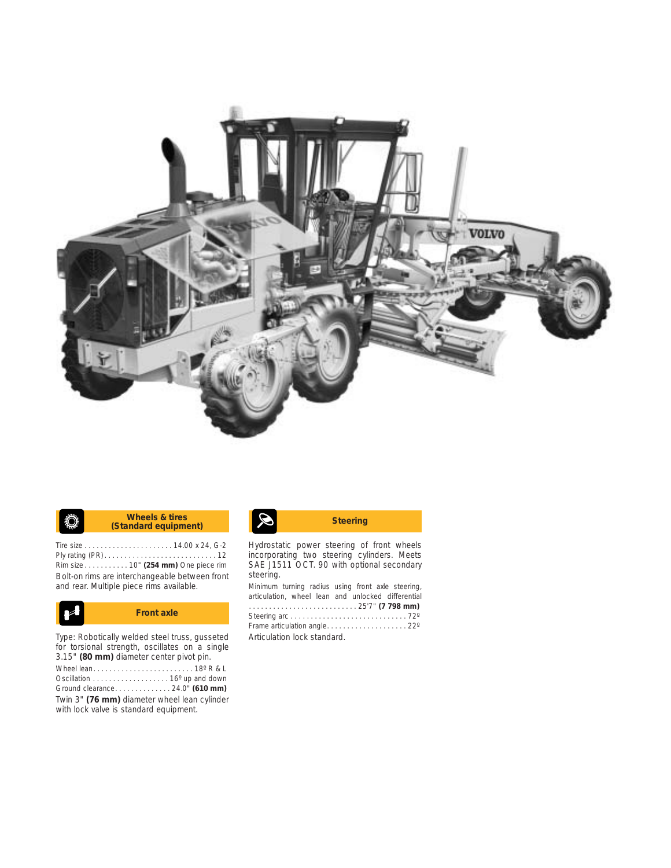

#### **K** Wheels & tires **Standard equipment)** Steering **Wheels & tires** ♦

Tire size . . . . . . . . . . . . . . . . . . . . . . 14.00 x 24, G-2 Ply rating (PR) . . . . . . . . . . . . . . . . . . . . . . . . . . . . 12 Rim size . . . . . . . . . . . 10" **(254 mm)** One piece rim Bolt-on rims are interchangeable between front and rear. Multiple piece rims available.



Type: Robotically welded steel truss, gusseted for torsional strength, oscillates on a single 3.15" **(80 mm)** diameter center pivot pin. Wheel lean. . . . . . . . . . . . . . . . . . . . . . . . . 18º R & L Oscillation . . . . . . . . . . . . . . . . . . . 16º up and down Ground clearance. . . . . . . . . . . . . . 24.0" **(610 mm)** Twin 3" **(76 mm)** diameter wheel lean cylinder with lock valve is standard equipment.

Hydrostatic power steering of front wheels incorporating two steering cylinders. Meets SAE J1511 OCT. 90 with optional secondary steering.

Minimum turning radius using front axle steering, articulation, wheel lean and unlocked differential . . . . . . . . . . . . . . . . . . . . . . . . . . . 25'7" **(7 798 mm)** Steering arc . . . . . . . . . . . . . . . . . . . . . . . . . . . . . 72º Frame articulation angle. . . . . . . . . . . . . . . . . . . . 22º Articulation lock standard.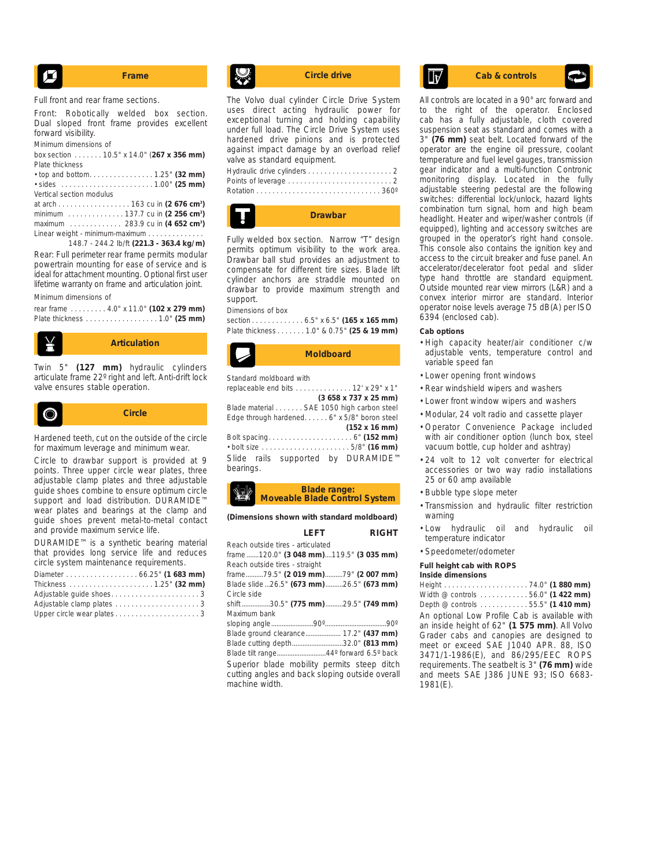$$
\begin{array}{|c|c|}\hline \hline \end{array}
$$
 **Frame**

Full front and rear frame sections.

Front: Robotically welded box section. Dual sloped front frame provides excellent forward visibility.

Minimum dimensions of

box section . . . . . . . 10.5" x 14.0" (**267 x 356 mm)** Plate thickness<br>
s tep and bottom

| Vertical section modulus |  |
|--------------------------|--|

at arch . . . . . . . . . . . . . . . . . . 163 cu in **(2 676 cm3 )** minimum . . . . . . . . . . . . . . 137.7 cu in **(2 256 cm3 )** maximum . . . . . . . . . . . . . 283.9 cu in **(4 652 cm3 )** Linear weight - minimum-maximum . . . . . . . . .

148.7 - 244.2 lb/ft **(221.3 - 363.4 kg/m)** Rear: Full perimeter rear frame permits modular powertrain mounting for ease of service and is ideal for attachment mounting. Optional first user lifetime warranty on frame and articulation joint.

Minimum dimensions of

| rear frame 4.0" x 11.0" (102 x 279 mm) |  |  |
|----------------------------------------|--|--|
|                                        |  |  |



Twin 5" **(127 mm)** hydraulic cylinders articulate frame 22º right and left. Anti-drift lock valve ensures stable operation.



Circle to drawbar support is provided at 9 points. Three upper circle wear plates, three adjustable clamp plates and three adjustable guide shoes combine to ensure optimum circle support and load distribution. DURAMIDE™ wear plates and bearings at the clamp and guide shoes prevent metal-to-metal contact and provide maximum service life.

DURAMIDE™ is a synthetic bearing material that provides long service life and reduces circle system maintenance requirements.

| Diameter  66.25" (1 683 mm) |
|-----------------------------|
|                             |
| Adjustable quide shoes3     |
|                             |
| Upper circle wear plates3   |

The Volvo dual cylinder Circle Drive System uses direct acting hydraulic power for exceptional turning and holding capability under full load. The Circle Drive System uses hardened drive pinions and is protected against impact damage by an overload relief valve as standard equipment. Hydraulic drive cylinders . . . . . . . . . . . . . . . . . . . . . 2

| <b>Drawbar</b> |
|----------------|
|                |
|                |

Fully welded box section. Narrow "T" design permits optimum visibility to the work area. Drawbar ball stud provides an adjustment to compensate for different tire sizes. Blade lift cylinder anchors are straddle mounted on drawbar to provide maximum strength and support.

#### Dimensions of box

section . . . . . . . . . . . . . 6.5" x 6.5" **(165 x 165 mm)** Plate thickness . . . . . . . 1.0" & 0.75" **(25 & 19 mm)**



```
Standard moldboard with 
replaceable end bits . . . . . . . . . . . . . . 12' x 29" x 1" 
                           (3 658 x 737 x 25 mm)
Blade material . . . . . . . SAE 1050 high carbon steel
Edge through hardened. . . . . . 6" x 5/8" boron steel 
                                     (152 x 16 mm)
Bolt spacing. . . . . . . . . . . . . . . . . . . . . 6" (152 mm) 
• bolt size . . . . . . . . . . . . . . . . . . . . . . 5/8" (16 mm)
Slide rails supported by DURAMIDE™
bearings.
```
#### **Blade range: Moveable Blade Control System**

**(Dimensions shown with standard moldboard)**

|                                                 | LFFT |  | <b>RIGHT</b> |
|-------------------------------------------------|------|--|--------------|
| Reach outside tires - articulated               |      |  |              |
| frame 120.0" (3 048 mm)119.5" (3 035 mm)        |      |  |              |
| Reach outside tires - straight                  |      |  |              |
| frame79.5" (2 019 mm)79" (2 007 mm)             |      |  |              |
| Blade slide 26.5" (673 mm) 26.5" (673 mm)       |      |  |              |
| Circle side                                     |      |  |              |
| shift 30.5" (775 mm) 29.5" (749 mm)             |      |  |              |
| Maximum bank                                    |      |  |              |
|                                                 |      |  |              |
| Blade ground clearance 17.2" (437 mm)           |      |  |              |
| Blade cutting depth32.0" (813 mm)               |      |  |              |
| Blade tilt range44° forward 6.5° back           |      |  |              |
| Superior blade mobility permits steep ditch     |      |  |              |
| cutting angles and back sloping outside overall |      |  |              |
| machine width.                                  |      |  |              |

## **Circle drive Cab & controls**

All controls are located in a 90° arc forward and to the right of the operator. Enclosed cab has a fully adjustable, cloth covered suspension seat as standard and comes with a 3" **(76 mm)** seat belt. Located forward of the operator are the engine oil pressure, coolant temperature and fuel level gauges, transmission gear indicator and a multi-function Contronic monitoring display. Located in the fully adjustable steering pedestal are the following switches: differential lock/unlock, hazard lights combination turn signal, horn and high beam headlight. Heater and wiper/washer controls (if equipped), lighting and accessory switches are grouped in the operator's right hand console. This console also contains the ignition key and access to the circuit breaker and fuse panel. An accelerator/decelerator foot pedal and slider type hand throttle are standard equipment. Outside mounted rear view mirrors (L&R) and a convex interior mirror are standard. Interior operator noise levels average 75 dB(A) per ISO 6394 (enclosed cab).

#### **Cab options**

- High capacity heater/air conditioner c/w adjustable vents, temperature control and variable speed fan
- Lower opening front windows
- Rear windshield wipers and washers
- Lower front window wipers and washers
- Modular, 24 volt radio and cassette player
- Operator Convenience Package included with air conditioner option (lunch box, steel vacuum bottle, cup holder and ashtray)
- 24 volt to 12 volt converter for electrical accessories or two way radio installations 25 or 60 amp available
- Bubble type slope meter
- Transmission and hydraulic filter restriction warning
- Low hydraulic oil and hydraulic oil temperature indicator
- Speedometer/odometer

#### **Full height cab with ROPS Inside dimensions**

Height . . . . . . . . . . . . . . . . . . . . . 74.0" **(1 880 mm)** Width @ controls . . . . . . . . . . . . 56.0" **(1 422 mm)** Depth @ controls . . . . . . . . . . . . 55.5" **(1 410 mm)** An optional Low Profile Cab is available with an inside height of 62" **(1 575 mm)**. All Volvo Grader cabs and canopies are designed to meet or exceed SAE J1040 APR. 88, ISO 3471/1-1986(E), and 86/295/EEC ROPS requirements. The seatbelt is 3" **(76 mm)** wide and meets SAE J386 JUNE 93; ISO 6683- 1981(E).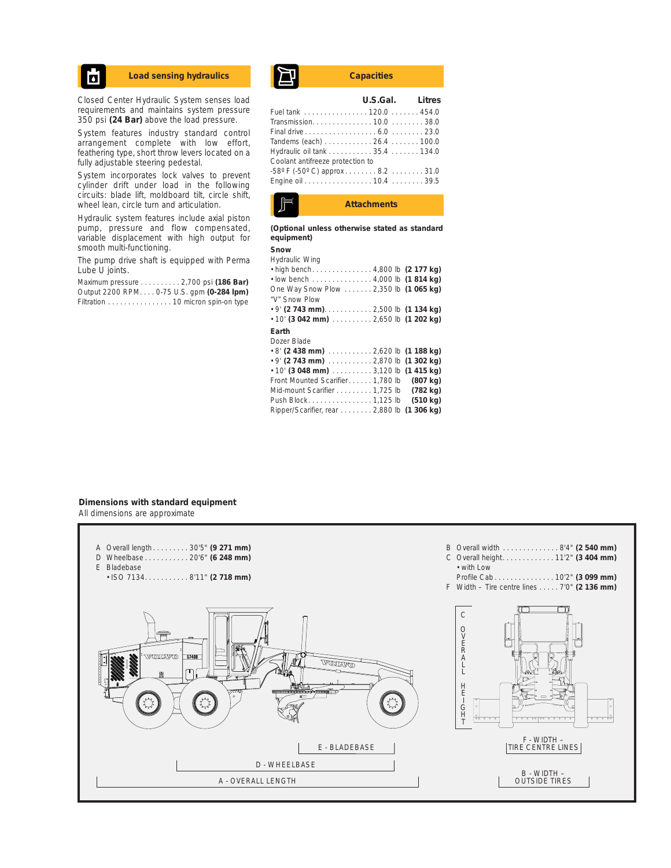## Ы

Closed Center Hydraulic System senses load requirements and maintains system pressure 350 psi **(24 Bar)** above the load pressure.

System features industry standard control arrangement complete with low effort, feathering type, short throw levers located on a fully adjustable steering pedestal.

System incorporates lock valves to prevent cylinder drift under load in the following circuits: blade lift, moldboard tilt, circle shift, wheel lean, circle turn and articulation.

Hydraulic system features include axial piston pump, pressure and flow compensated, variable displacement with high output for smooth multi-functioning.

The pump drive shaft is equipped with Perma Lube U joints.

Maximum pressure . . . . . . . . . . 2,700 psi **(186 Bar)** Output 2200 RPM. . . . 0-75 U.S. gpm **(0-284 lpm)** Filtration . . . . . . . . . . . . . . . . 10 micron spin-on type

# Load sensing hydraulics **Capacities**

|                                                    | U.S.Gal. Litres |
|----------------------------------------------------|-----------------|
| Fuel tank 120.0 454.0                              |                 |
|                                                    |                 |
|                                                    |                 |
| Tandems (each) 26.4 100.0                          |                 |
| Hydraulic oil tank 35.4 134.0                      |                 |
| Coolant antifreeze protection to                   |                 |
| $-58^{\circ}$ F ( $-50^{\circ}$ C) approx 8.2 31.0 |                 |
| Engine oil 10.4 39.5                               |                 |
|                                                    |                 |



**(Optional unless otherwise stated as standard equipment)**

## **Snow**

| Hydraulic Wing                              |  |  |
|---------------------------------------------|--|--|
| • high bench4,800 lb (2 177 kg)             |  |  |
| $\cdot$ low bench 4,000 lb (1814 kg)        |  |  |
| One Way Snow Plow 2,350 lb (1 065 kg)       |  |  |
| "V" Snow Plow                               |  |  |
|                                             |  |  |
| $\cdot$ 10' (3 042 mm)  2,650 lb (1 202 kg) |  |  |
|                                             |  |  |

#### **Earth** Dozer Blade

| Dozer Blade                                                      |  |
|------------------------------------------------------------------|--|
| $\cdot$ 8' (2 438 mm) $\ldots \ldots \ldots 2,620$ lb (1 188 kg) |  |
| $\cdot$ 9' (2 743 mm) $\ldots \ldots \ldots 2,870$ lb (1 302 kg) |  |
| $\cdot$ 10' (3 048 mm) 3,120 lb (1 415 kg)                       |  |
| Front Mounted Scarifier 1,780 lb (807 kg)                        |  |
| Mid-mount Scarifier 1,725 lb (782 kg)                            |  |
| Push Block1,125 lb (510 kg)                                      |  |
| Ripper/Scarifier, rear 2,880 lb (1 306 kg)                       |  |
|                                                                  |  |

#### **Dimensions with standard equipment** All dimensions are approximate